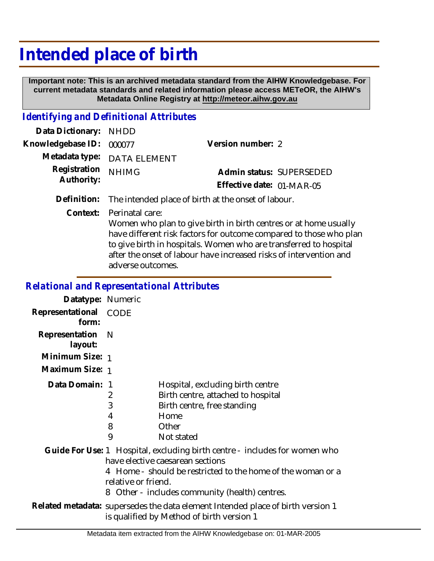## **Intended place of birth**

 **Important note: This is an archived metadata standard from the AIHW Knowledgebase. For current metadata standards and related information please access METeOR, the AIHW's Metadata Online Registry at http://meteor.aihw.gov.au**

## *Identifying and Definitional Attributes*

| Data Dictionary: NHDD      |                             |                           |  |
|----------------------------|-----------------------------|---------------------------|--|
| Knowledgebase ID: 000077   |                             | Version number: 2         |  |
|                            | Metadata type: DATA ELEMENT |                           |  |
| Registration<br>Authority: | <b>NHIMG</b>                | Admin status: SUPERSEDED  |  |
|                            |                             | Effective date: 01-MAR-05 |  |
|                            |                             |                           |  |

**Definition:** The intended place of birth at the onset of labour.

Perinatal care: **Context:**

> Women who plan to give birth in birth centres or at home usually have different risk factors for outcome compared to those who plan to give birth in hospitals. Women who are transferred to hospital after the onset of labour have increased risks of intervention and adverse outcomes.

## *Relational and Representational Attributes*

| Datatype: Numeric         |                       |                                                                                                                                                                                                                                 |
|---------------------------|-----------------------|---------------------------------------------------------------------------------------------------------------------------------------------------------------------------------------------------------------------------------|
| Representational<br>form: | CODE                  |                                                                                                                                                                                                                                 |
| Representation<br>layout: | - N                   |                                                                                                                                                                                                                                 |
| Minimum Size: 1           |                       |                                                                                                                                                                                                                                 |
| Maximum Size: 1           |                       |                                                                                                                                                                                                                                 |
| Data Domain: 1            | 2<br>3<br>4<br>8<br>9 | Hospital, excluding birth centre<br>Birth centre, attached to hospital<br>Birth centre, free standing<br>Home<br>Other<br>Not stated                                                                                            |
|                           | relative or friend.   | Guide For Use: 1 Hospital, excluding birth centre - includes for women who<br>have elective caesarean sections<br>4 Home - should be restricted to the home of the woman or a<br>8 Other - includes community (health) centres. |
|                           |                       | Related metadata: supersedes the data element Intended place of birth version 1<br>is qualified by Method of birth version 1                                                                                                    |